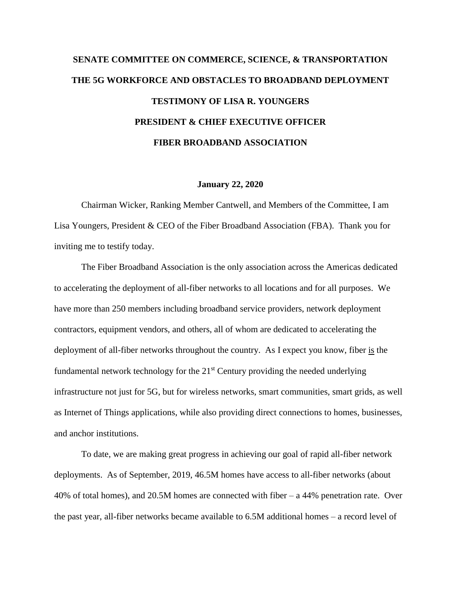# **SENATE COMMITTEE ON COMMERCE, SCIENCE, & TRANSPORTATION THE 5G WORKFORCE AND OBSTACLES TO BROADBAND DEPLOYMENT TESTIMONY OF LISA R. YOUNGERS PRESIDENT & CHIEF EXECUTIVE OFFICER FIBER BROADBAND ASSOCIATION**

#### **January 22, 2020**

Chairman Wicker, Ranking Member Cantwell, and Members of the Committee, I am Lisa Youngers, President & CEO of the Fiber Broadband Association (FBA). Thank you for inviting me to testify today.

The Fiber Broadband Association is the only association across the Americas dedicated to accelerating the deployment of all-fiber networks to all locations and for all purposes. We have more than 250 members including broadband service providers, network deployment contractors, equipment vendors, and others, all of whom are dedicated to accelerating the deployment of all-fiber networks throughout the country. As I expect you know, fiber is the fundamental network technology for the  $21<sup>st</sup>$  Century providing the needed underlying infrastructure not just for 5G, but for wireless networks, smart communities, smart grids, as well as Internet of Things applications, while also providing direct connections to homes, businesses, and anchor institutions.

To date, we are making great progress in achieving our goal of rapid all-fiber network deployments. As of September, 2019, 46.5M homes have access to all-fiber networks (about 40% of total homes), and 20.5M homes are connected with fiber – a 44% penetration rate. Over the past year, all-fiber networks became available to 6.5M additional homes – a record level of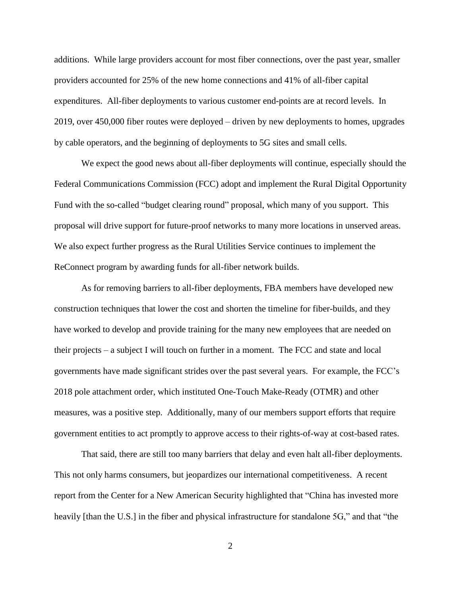additions. While large providers account for most fiber connections, over the past year, smaller providers accounted for 25% of the new home connections and 41% of all-fiber capital expenditures. All-fiber deployments to various customer end-points are at record levels. In 2019, over 450,000 fiber routes were deployed – driven by new deployments to homes, upgrades by cable operators, and the beginning of deployments to 5G sites and small cells.

We expect the good news about all-fiber deployments will continue, especially should the Federal Communications Commission (FCC) adopt and implement the Rural Digital Opportunity Fund with the so-called "budget clearing round" proposal, which many of you support. This proposal will drive support for future-proof networks to many more locations in unserved areas. We also expect further progress as the Rural Utilities Service continues to implement the ReConnect program by awarding funds for all-fiber network builds.

As for removing barriers to all-fiber deployments, FBA members have developed new construction techniques that lower the cost and shorten the timeline for fiber-builds, and they have worked to develop and provide training for the many new employees that are needed on their projects – a subject I will touch on further in a moment. The FCC and state and local governments have made significant strides over the past several years. For example, the FCC's 2018 pole attachment order, which instituted One-Touch Make-Ready (OTMR) and other measures, was a positive step. Additionally, many of our members support efforts that require government entities to act promptly to approve access to their rights-of-way at cost-based rates.

That said, there are still too many barriers that delay and even halt all-fiber deployments. This not only harms consumers, but jeopardizes our international competitiveness. A recent report from the Center for a New American Security highlighted that "China has invested more heavily [than the U.S.] in the fiber and physical infrastructure for standalone 5G," and that "the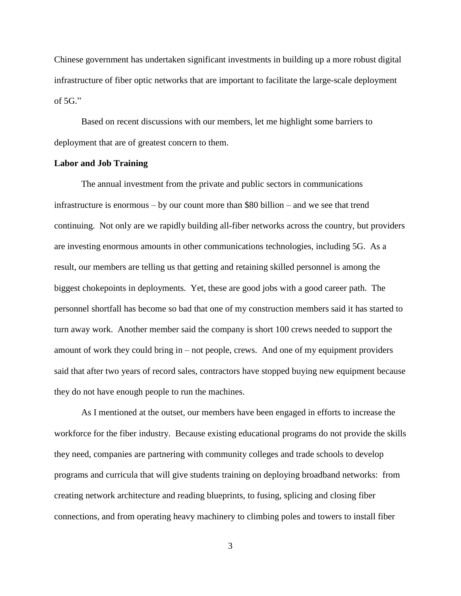Chinese government has undertaken significant investments in building up a more robust digital infrastructure of fiber optic networks that are important to facilitate the large-scale deployment of  $5G$ ."

Based on recent discussions with our members, let me highlight some barriers to deployment that are of greatest concern to them.

## **Labor and Job Training**

The annual investment from the private and public sectors in communications infrastructure is enormous – by our count more than \$80 billion – and we see that trend continuing. Not only are we rapidly building all-fiber networks across the country, but providers are investing enormous amounts in other communications technologies, including 5G. As a result, our members are telling us that getting and retaining skilled personnel is among the biggest chokepoints in deployments. Yet, these are good jobs with a good career path. The personnel shortfall has become so bad that one of my construction members said it has started to turn away work. Another member said the company is short 100 crews needed to support the amount of work they could bring in – not people, crews. And one of my equipment providers said that after two years of record sales, contractors have stopped buying new equipment because they do not have enough people to run the machines.

As I mentioned at the outset, our members have been engaged in efforts to increase the workforce for the fiber industry. Because existing educational programs do not provide the skills they need, companies are partnering with community colleges and trade schools to develop programs and curricula that will give students training on deploying broadband networks: from creating network architecture and reading blueprints, to fusing, splicing and closing fiber connections, and from operating heavy machinery to climbing poles and towers to install fiber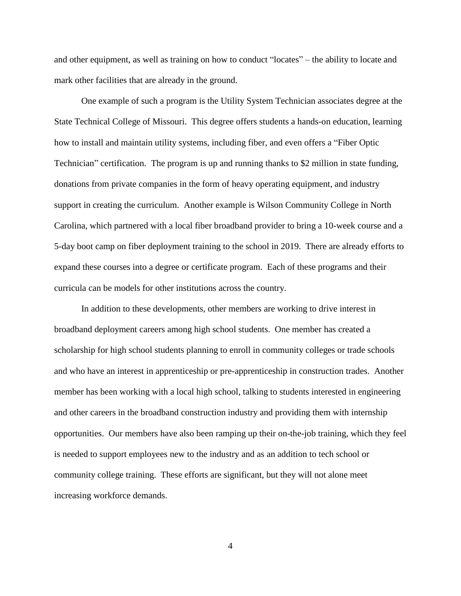and other equipment, as well as training on how to conduct "locates" – the ability to locate and mark other facilities that are already in the ground.

One example of such a program is the Utility System Technician associates degree at the State Technical College of Missouri. This degree offers students a hands-on education, learning how to install and maintain utility systems, including fiber, and even offers a "Fiber Optic Technician" certification. The program is up and running thanks to \$2 million in state funding, donations from private companies in the form of heavy operating equipment, and industry support in creating the curriculum. Another example is Wilson Community College in North Carolina, which partnered with a local fiber broadband provider to bring a 10-week course and a 5-day boot camp on fiber deployment training to the school in 2019. There are already efforts to expand these courses into a degree or certificate program. Each of these programs and their curricula can be models for other institutions across the country.

In addition to these developments, other members are working to drive interest in broadband deployment careers among high school students. One member has created a scholarship for high school students planning to enroll in community colleges or trade schools and who have an interest in apprenticeship or pre-apprenticeship in construction trades. Another member has been working with a local high school, talking to students interested in engineering and other careers in the broadband construction industry and providing them with internship opportunities. Our members have also been ramping up their on-the-job training, which they feel is needed to support employees new to the industry and as an addition to tech school or community college training. These efforts are significant, but they will not alone meet increasing workforce demands.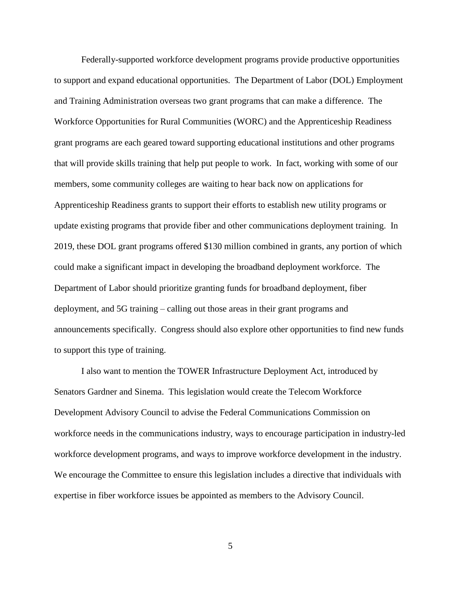Federally-supported workforce development programs provide productive opportunities to support and expand educational opportunities. The Department of Labor (DOL) Employment and Training Administration overseas two grant programs that can make a difference. The Workforce Opportunities for Rural Communities (WORC) and the Apprenticeship Readiness grant programs are each geared toward supporting educational institutions and other programs that will provide skills training that help put people to work. In fact, working with some of our members, some community colleges are waiting to hear back now on applications for Apprenticeship Readiness grants to support their efforts to establish new utility programs or update existing programs that provide fiber and other communications deployment training. In 2019, these DOL grant programs offered \$130 million combined in grants, any portion of which could make a significant impact in developing the broadband deployment workforce. The Department of Labor should prioritize granting funds for broadband deployment, fiber deployment, and 5G training – calling out those areas in their grant programs and announcements specifically. Congress should also explore other opportunities to find new funds to support this type of training.

I also want to mention the TOWER Infrastructure Deployment Act, introduced by Senators Gardner and Sinema. This legislation would create the Telecom Workforce Development Advisory Council to advise the Federal Communications Commission on workforce needs in the communications industry, ways to encourage participation in industry-led workforce development programs, and ways to improve workforce development in the industry. We encourage the Committee to ensure this legislation includes a directive that individuals with expertise in fiber workforce issues be appointed as members to the Advisory Council.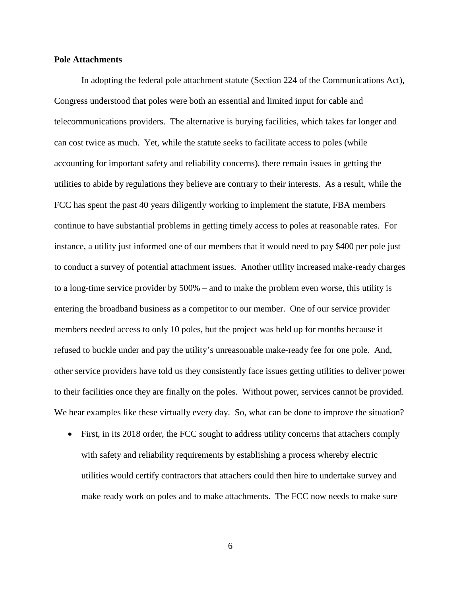## **Pole Attachments**

In adopting the federal pole attachment statute (Section 224 of the Communications Act), Congress understood that poles were both an essential and limited input for cable and telecommunications providers. The alternative is burying facilities, which takes far longer and can cost twice as much. Yet, while the statute seeks to facilitate access to poles (while accounting for important safety and reliability concerns), there remain issues in getting the utilities to abide by regulations they believe are contrary to their interests. As a result, while the FCC has spent the past 40 years diligently working to implement the statute, FBA members continue to have substantial problems in getting timely access to poles at reasonable rates. For instance, a utility just informed one of our members that it would need to pay \$400 per pole just to conduct a survey of potential attachment issues. Another utility increased make-ready charges to a long-time service provider by 500% – and to make the problem even worse, this utility is entering the broadband business as a competitor to our member. One of our service provider members needed access to only 10 poles, but the project was held up for months because it refused to buckle under and pay the utility's unreasonable make-ready fee for one pole. And, other service providers have told us they consistently face issues getting utilities to deliver power to their facilities once they are finally on the poles. Without power, services cannot be provided. We hear examples like these virtually every day. So, what can be done to improve the situation?

 First, in its 2018 order, the FCC sought to address utility concerns that attachers comply with safety and reliability requirements by establishing a process whereby electric utilities would certify contractors that attachers could then hire to undertake survey and make ready work on poles and to make attachments. The FCC now needs to make sure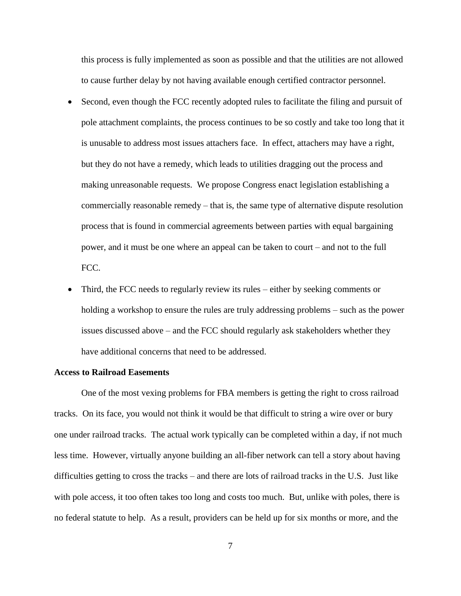this process is fully implemented as soon as possible and that the utilities are not allowed to cause further delay by not having available enough certified contractor personnel.

- Second, even though the FCC recently adopted rules to facilitate the filing and pursuit of pole attachment complaints, the process continues to be so costly and take too long that it is unusable to address most issues attachers face. In effect, attachers may have a right, but they do not have a remedy, which leads to utilities dragging out the process and making unreasonable requests. We propose Congress enact legislation establishing a commercially reasonable remedy – that is, the same type of alternative dispute resolution process that is found in commercial agreements between parties with equal bargaining power, and it must be one where an appeal can be taken to court – and not to the full FCC.
- Third, the FCC needs to regularly review its rules either by seeking comments or holding a workshop to ensure the rules are truly addressing problems – such as the power issues discussed above – and the FCC should regularly ask stakeholders whether they have additional concerns that need to be addressed.

## **Access to Railroad Easements**

One of the most vexing problems for FBA members is getting the right to cross railroad tracks. On its face, you would not think it would be that difficult to string a wire over or bury one under railroad tracks. The actual work typically can be completed within a day, if not much less time. However, virtually anyone building an all-fiber network can tell a story about having difficulties getting to cross the tracks – and there are lots of railroad tracks in the U.S. Just like with pole access, it too often takes too long and costs too much. But, unlike with poles, there is no federal statute to help. As a result, providers can be held up for six months or more, and the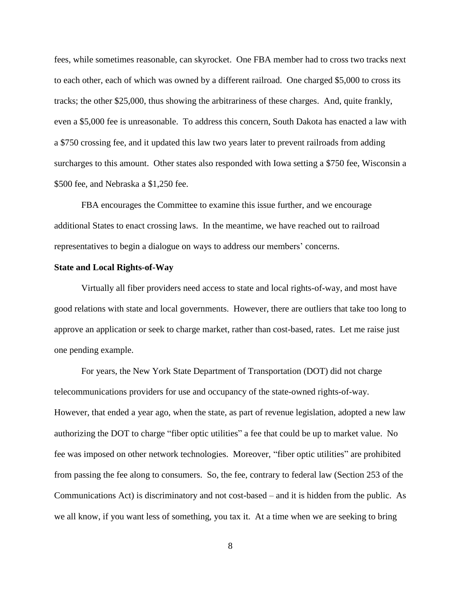fees, while sometimes reasonable, can skyrocket. One FBA member had to cross two tracks next to each other, each of which was owned by a different railroad. One charged \$5,000 to cross its tracks; the other \$25,000, thus showing the arbitrariness of these charges. And, quite frankly, even a \$5,000 fee is unreasonable. To address this concern, South Dakota has enacted a law with a \$750 crossing fee, and it updated this law two years later to prevent railroads from adding surcharges to this amount. Other states also responded with Iowa setting a \$750 fee, Wisconsin a \$500 fee, and Nebraska a \$1,250 fee.

FBA encourages the Committee to examine this issue further, and we encourage additional States to enact crossing laws. In the meantime, we have reached out to railroad representatives to begin a dialogue on ways to address our members' concerns.

## **State and Local Rights-of-Way**

Virtually all fiber providers need access to state and local rights-of-way, and most have good relations with state and local governments. However, there are outliers that take too long to approve an application or seek to charge market, rather than cost-based, rates. Let me raise just one pending example.

For years, the New York State Department of Transportation (DOT) did not charge telecommunications providers for use and occupancy of the state-owned rights-of-way. However, that ended a year ago, when the state, as part of revenue legislation, adopted a new law authorizing the DOT to charge "fiber optic utilities" a fee that could be up to market value. No fee was imposed on other network technologies. Moreover, "fiber optic utilities" are prohibited from passing the fee along to consumers. So, the fee, contrary to federal law (Section 253 of the Communications Act) is discriminatory and not cost-based – and it is hidden from the public. As we all know, if you want less of something, you tax it. At a time when we are seeking to bring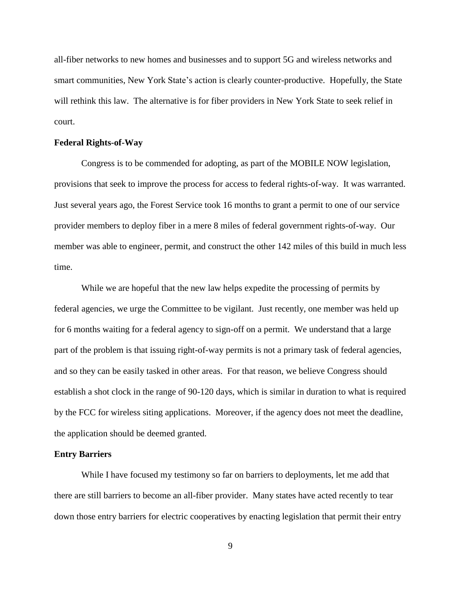all-fiber networks to new homes and businesses and to support 5G and wireless networks and smart communities, New York State's action is clearly counter-productive. Hopefully, the State will rethink this law. The alternative is for fiber providers in New York State to seek relief in court.

## **Federal Rights-of-Way**

Congress is to be commended for adopting, as part of the MOBILE NOW legislation, provisions that seek to improve the process for access to federal rights-of-way. It was warranted. Just several years ago, the Forest Service took 16 months to grant a permit to one of our service provider members to deploy fiber in a mere 8 miles of federal government rights-of-way. Our member was able to engineer, permit, and construct the other 142 miles of this build in much less time.

While we are hopeful that the new law helps expedite the processing of permits by federal agencies, we urge the Committee to be vigilant. Just recently, one member was held up for 6 months waiting for a federal agency to sign-off on a permit. We understand that a large part of the problem is that issuing right-of-way permits is not a primary task of federal agencies, and so they can be easily tasked in other areas. For that reason, we believe Congress should establish a shot clock in the range of 90-120 days, which is similar in duration to what is required by the FCC for wireless siting applications. Moreover, if the agency does not meet the deadline, the application should be deemed granted.

### **Entry Barriers**

While I have focused my testimony so far on barriers to deployments, let me add that there are still barriers to become an all-fiber provider. Many states have acted recently to tear down those entry barriers for electric cooperatives by enacting legislation that permit their entry